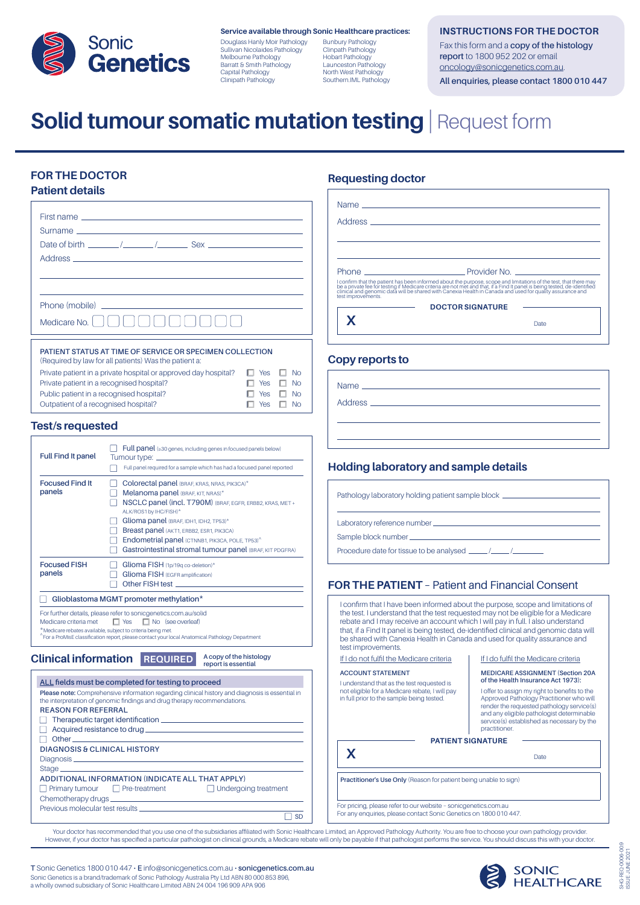

**Service available through Sonic Healthcare practices:**

Douglass Hanly Moir Pathology Sullivan Nicolaides Pathology Melbourne Pathology Barratt & Smith Pathology Capital Pathology Clinipath Pathology

Bunbury Pathology Clinpath Pathology Hobart Pathology Launceston Pathology North West Pathology Southern.IML Pathology

#### **INSTRUCTIONS FOR THE DOCTOR**

Fax this form and a **copy of the histology report** to 1800 952 202 or email oncology@sonicgenetics.com.au. **All enquiries, please contact 1800 010 447**

## **Solid tumour somatic mutation testing** Request form

#### **FOR THE DOCTOR Patient details**

| Date of birth $\frac{1}{\sqrt{1-\frac{1}{1-\frac{1}{1-\frac{1}{1-\frac{1}{1-\frac{1}{1-\frac{1}{1-\frac{1}{1-\frac{1}{1-\frac{1}{1-\frac{1}{1-\frac{1}{1-\frac{1}{1-\frac{1}{1-\frac{1}{1-\frac{1}{1-\frac{1}{1-\frac{1}{1-\frac{1}{1-\frac{1}{1-\frac{1}{1-\frac{1}{1-\frac{1}{1-\frac{1}{1-\frac{1}{1-\frac{1}{1-\frac{1}{1-\frac{1}{1-\frac{1}{1-\frac{1}{1-\frac{1}{1-\frac{1}{1-\frac{1}{1-\frac{1}{$ |            |           |
|------------------------------------------------------------------------------------------------------------------------------------------------------------------------------------------------------------------------------------------------------------------------------------------------------------------------------------------------------------------------------------------------------------|------------|-----------|
|                                                                                                                                                                                                                                                                                                                                                                                                            |            |           |
|                                                                                                                                                                                                                                                                                                                                                                                                            |            |           |
|                                                                                                                                                                                                                                                                                                                                                                                                            |            |           |
|                                                                                                                                                                                                                                                                                                                                                                                                            |            |           |
| Medicare No. I                                                                                                                                                                                                                                                                                                                                                                                             |            |           |
| PATIENT STATUS AT TIME OF SERVICE OR SPECIMEN COLLECTION<br>(Required by law for all patients) Was the patient a:                                                                                                                                                                                                                                                                                          |            |           |
| Private patient in a private hospital or approved day hospital?                                                                                                                                                                                                                                                                                                                                            | <b>Yes</b> | <b>No</b> |
| Private patient in a recognised hospital?                                                                                                                                                                                                                                                                                                                                                                  | <b>Yes</b> | <b>No</b> |
| Public patient in a recognised hospital?                                                                                                                                                                                                                                                                                                                                                                   | <b>Yes</b> | <b>No</b> |
| Outpatient of a recognised hospital?                                                                                                                                                                                                                                                                                                                                                                       | Yes        | <b>No</b> |

#### **Test/s requested**

| <b>Full Find It panel</b>               | Full panel (≥30 genes, including genes in focused panels below)<br>Tumour type: __<br>Full panel required for a sample which has had a focused panel reported                                                                                                                                                                                                                            |  |  |
|-----------------------------------------|------------------------------------------------------------------------------------------------------------------------------------------------------------------------------------------------------------------------------------------------------------------------------------------------------------------------------------------------------------------------------------------|--|--|
| <b>Focused Find It</b><br>panels        | Colorectal panel (BRAF, KRAS, NRAS, PIK3CA)*<br>Melanoma panel (BRAF, KIT, NRAS)*<br>NSCLC panel (incl. T790M) (BRAF, EGFR, ERBB2, KRAS, MET+<br>ALK/ROS1 by IHC/FISH)*<br>Glioma panel (BRAF, IDH1, IDH2, TP53)*<br>Breast panel (AKT1, ERBB2, ESR1, PIK3CA)<br>Endometrial panel (CTNNB1, PIK3CA, POLE, TP53) <sup>^</sup><br>Gastrointestinal stromal tumour panel (BRAF, KIT PDGFRA) |  |  |
| <b>Focused FISH</b><br>panels           | Glioma FISH (1p/19q co-deletion)*<br>Glioma FISH (EGFR amplification)<br>Other FISH test                                                                                                                                                                                                                                                                                                 |  |  |
| Glioblastoma MGMT promoter methylation* |                                                                                                                                                                                                                                                                                                                                                                                          |  |  |

### For further details, please refer to [sonicgenetics.com.au/solid](http://sonicgenetics.com.au/solid)<br>Medicare criteria met<br> $\Box$  Yes  $\Box$  No (see overleaf)

 $\Box$  Yes  $\Box$  No (see overleaf) \* Medicare rebates available, subject to criteria being met.<br>^For a ProMisE classification report, please contact your local Anatomical Pathology Department

#### **Clinical information REQUIRED A copy of the histology report is essential**

| ALL fields must be completed for testing to proceed                                                                                                                                                       |  |  |  |  |
|-----------------------------------------------------------------------------------------------------------------------------------------------------------------------------------------------------------|--|--|--|--|
| Please note: Comprehensive information regarding clinical history and diagnosis is essential in<br>the interpretation of genomic findings and drug therapy recommendations.<br><b>REASON FOR REFERRAL</b> |  |  |  |  |
|                                                                                                                                                                                                           |  |  |  |  |
| <b>DIAGNOSIS &amp; CLINICAL HISTORY</b>                                                                                                                                                                   |  |  |  |  |
|                                                                                                                                                                                                           |  |  |  |  |
|                                                                                                                                                                                                           |  |  |  |  |
| ADDITIONAL INFORMATION (INDICATE ALL THAT APPLY)                                                                                                                                                          |  |  |  |  |
| $\Box$ Primary tumour $\Box$ Pre-treatment $\Box$ Undergoing treatment                                                                                                                                    |  |  |  |  |
|                                                                                                                                                                                                           |  |  |  |  |
|                                                                                                                                                                                                           |  |  |  |  |
|                                                                                                                                                                                                           |  |  |  |  |

### **Requesting doctor**

| Phone <b>Contract Contract Contract Contract Contract Contract Contract Contract Contract Contract Contract Contract Contract Contract Contract Contract Contract Contract Contract Contract Contract Contract Contract Contract</b>                                                                                                                                |      |  |
|---------------------------------------------------------------------------------------------------------------------------------------------------------------------------------------------------------------------------------------------------------------------------------------------------------------------------------------------------------------------|------|--|
| I confirm that the patient has been informed about the purpose, scope and limitations of the test, that there may<br>be a private fee for testing if Medicare criteria are not met and that, if a Find It panel is being tested,<br>clinical and genomic data will be shared with Canexia Health in Canada and used for quality assurance and<br>test improvements. |      |  |
| <b>DOCTOR SIGNATURE</b>                                                                                                                                                                                                                                                                                                                                             |      |  |
|                                                                                                                                                                                                                                                                                                                                                                     | Date |  |

#### **Copy reports to**

| Name      |  |
|-----------|--|
| Address _ |  |

#### **Holding laboratory and sample details**

Pathology laboratory holding patient sample block

Laboratory reference number

Sample block number

Procedure date for tissue to be analysed.

#### **FOR THE PATIENT** – Patient and Financial Consent



For pricing, please refer to our website – [sonicgenetics.com.au](http://sonicgenetics.com.au) For any enquiries, please contact Sonic Genetics on 1800 010 447.

Your doctor has recommended that you use one of the subsidiaries affiliated with Sonic Healthcare Limited, an Approved Pathology Authority. You are free to choose your own pathology provider.<br>However, if your doctor has sp

**T** Sonic Genetics 1800 010 447 • **E** info@sonicgenetics.com.au • **[sonicgenetics.com.au](http://sonicgenetics.com.au)** Sonic Genetics is a brand/trademark of Sonic Pathology Australia Pty Ltd ABN 80 000 853 896,<br>a wholly owned subsidiary of Sonic Healthcare Limited ABN 24 004 196 909 APA 906